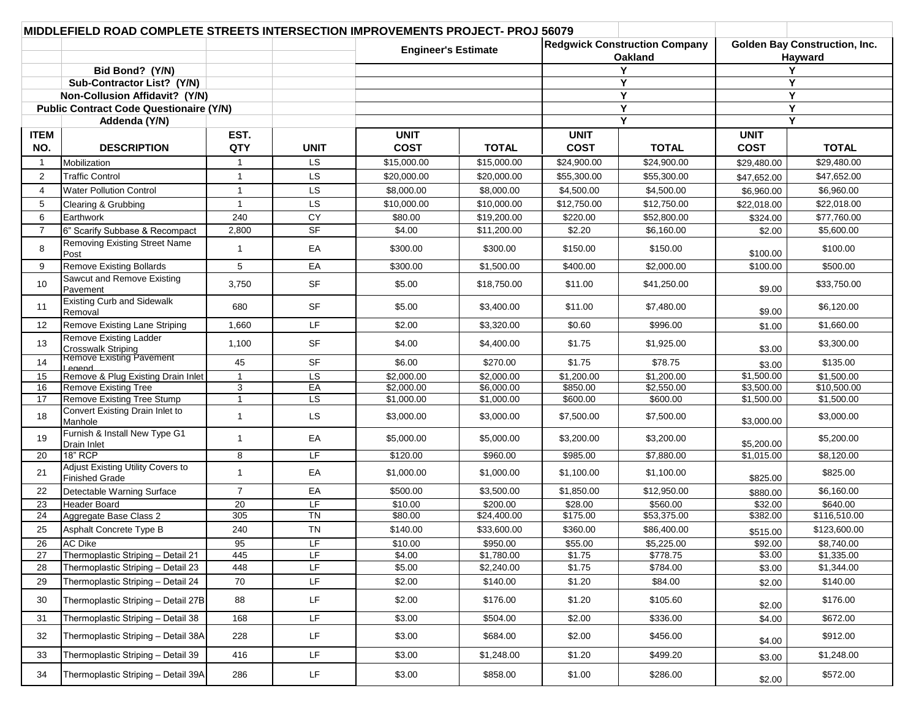| MIDDLEFIELD ROAD COMPLETE STREETS INTERSECTION IMPROVEMENTS PROJECT- PROJ 56079 |                                                            |                |                        |                                      |                                              |                                      |                        |             |              |
|---------------------------------------------------------------------------------|------------------------------------------------------------|----------------|------------------------|--------------------------------------|----------------------------------------------|--------------------------------------|------------------------|-------------|--------------|
|                                                                                 |                                                            |                |                        | <b>Redgwick Construction Company</b> |                                              | <b>Golden Bay Construction, Inc.</b> |                        |             |              |
|                                                                                 |                                                            |                |                        |                                      | <b>Engineer's Estimate</b><br><b>Oakland</b> |                                      |                        | Hayward     |              |
|                                                                                 | Bid Bond? (Y/N)                                            |                |                        |                                      |                                              | Y                                    |                        | Y           |              |
|                                                                                 | Sub-Contractor List? (Y/N)                                 |                |                        |                                      |                                              |                                      | Y                      |             | Y            |
|                                                                                 | Non-Collusion Affidavit? (Y/N)                             |                |                        |                                      |                                              |                                      | Y                      |             | Y            |
|                                                                                 | <b>Public Contract Code Questionaire (Y/N)</b>             |                |                        |                                      |                                              | Υ                                    |                        | Y           |              |
|                                                                                 | Addenda (Y/N)                                              |                |                        |                                      |                                              | Y                                    |                        | Υ           |              |
| <b>ITEM</b>                                                                     |                                                            | EST.           |                        | <b>UNIT</b>                          |                                              | <b>UNIT</b>                          |                        | <b>UNIT</b> |              |
| NO.                                                                             | <b>DESCRIPTION</b>                                         | QTY            | <b>UNIT</b>            | <b>COST</b>                          | <b>TOTAL</b>                                 | <b>COST</b>                          | <b>TOTAL</b>           | <b>COST</b> | <b>TOTAL</b> |
| $\overline{1}$                                                                  | Mobilization                                               | -1             | <b>LS</b>              | \$15,000.00                          | \$15,000.00                                  | \$24,900.00                          | \$24,900.00            | \$29,480.00 | \$29.480.00  |
| 2                                                                               | <b>Traffic Control</b>                                     | $\overline{1}$ | LS                     | \$20,000.00                          | \$20,000.00                                  | \$55,300.00                          | \$55,300.00            | \$47,652.00 | \$47,652.00  |
| 4                                                                               | <b>Water Pollution Control</b>                             | $\overline{1}$ | LS                     | \$8,000.00                           | \$8,000.00                                   | \$4,500.00                           | \$4,500.00             | \$6,960.00  | \$6,960.00   |
| 5                                                                               | Clearing & Grubbing                                        | $\overline{1}$ | LS                     | \$10,000.00                          | \$10,000.00                                  | \$12,750.00                          | \$12,750.00            | \$22,018.00 | \$22,018.00  |
| 6                                                                               | Earthwork                                                  | 240            | CY                     | \$80.00                              | \$19,200.00                                  | \$220.00                             | \$52,800.00            | \$324.00    | \$77,760.00  |
| $\overline{7}$                                                                  | 6" Scarify Subbase & Recompact                             | 2,800          | <b>SF</b>              | \$4.00                               | \$11,200.00                                  | \$2.20                               | \$6,160.00             | \$2.00      | \$5,600.00   |
| 8                                                                               | Removing Existing Street Name<br>Post                      | -1             | EA                     | \$300.00                             | \$300.00                                     | \$150.00                             | \$150.00               | \$100.00    | \$100.00     |
| 9                                                                               | <b>Remove Existing Bollards</b>                            | 5              | EA                     | \$300.00                             | \$1,500.00                                   | \$400.00                             | \$2,000.00             | \$100.00    | \$500.00     |
| 10 <sup>°</sup>                                                                 | Sawcut and Remove Existing<br>Pavement                     | 3,750          | <b>SF</b>              | \$5.00                               | \$18,750.00                                  | \$11.00                              | \$41,250.00            | \$9.00      | \$33,750.00  |
| 11                                                                              | <b>Existing Curb and Sidewalk</b><br>Removal               | 680            | <b>SF</b>              | \$5.00                               | \$3,400.00                                   | \$11.00                              | \$7,480.00             | \$9.00      | \$6,120.00   |
| 12                                                                              | Remove Existing Lane Striping                              | 1,660          | LF                     | \$2.00                               | \$3,320.00                                   | \$0.60                               | \$996.00               | \$1.00      | \$1,660.00   |
| 13                                                                              | Remove Existing Ladder                                     | 1,100          | <b>SF</b>              | \$4.00                               | \$4,400.00                                   | \$1.75                               | \$1,925.00             | \$3.00      | \$3,300.00   |
| 14                                                                              | Crosswalk Striping<br>Remove Existing Pavement             | 45             | <b>SF</b>              | \$6.00                               | \$270.00                                     | \$1.75                               | \$78.75                | \$3.00      | \$135.00     |
| 15                                                                              | hoene l<br>Remove & Plug Existing Drain Inlet              | $\overline{1}$ | $\overline{\text{LS}}$ | \$2,000.00                           | \$2,000.00                                   | \$1,200.00                           | \$1,200.00             | \$1,500.00  | \$1,500.00   |
| 16                                                                              | <b>Remove Existing Tree</b>                                | $\mathbf{3}$   | EA                     | \$2,000.00                           | \$6,000.00                                   | \$850.00                             | \$2,550.00             | \$3,500.00  | \$10,500.00  |
| 17                                                                              | Remove Existing Tree Stump                                 | $\overline{1}$ | LS                     | \$1,000.00                           | \$1,000.00                                   | \$600.00                             | \$600.00               | \$1,500.00  | \$1,500.00   |
| 18                                                                              | Convert Existing Drain Inlet to<br>Manhole                 | $\overline{1}$ | <b>LS</b>              | \$3,000.00                           | \$3,000.00                                   | \$7,500.00                           | \$7,500.00             | \$3,000.00  | \$3,000.00   |
| 19                                                                              | Furnish & Install New Type G1<br><b>Drain Inlet</b>        | $\overline{1}$ | EA                     | \$5,000.00                           | \$5,000.00                                   | \$3,200.00                           | \$3,200.00             | \$5,200.00  | \$5,200.00   |
| 20                                                                              | <b>18" RCP</b>                                             | 8              | LF                     | \$120.00                             | \$960.00                                     | \$985.00                             | $\overline{$7,880.00}$ | \$1,015.00  | \$8,120.00   |
| 21                                                                              | Adjust Existing Utility Covers to<br><b>Finished Grade</b> | $\overline{1}$ | EA                     | \$1,000.00                           | \$1,000.00                                   | \$1,100.00                           | \$1,100.00             | \$825.00    | \$825.00     |
| 22                                                                              | Detectable Warning Surface                                 | $\overline{7}$ | EA                     | \$500.00                             | \$3,500.00                                   | \$1,850.00                           | \$12,950.00            | \$880.00    | \$6,160.00   |
| 23                                                                              | <b>Header Board</b>                                        | 20             | LF                     | \$10.00                              | \$200.00                                     | \$28.00                              | \$560.00               | \$32.00     | \$640.00     |
| 24                                                                              | Aggregate Base Class 2                                     | 305            | $\overline{T}N$        | \$80.00                              | \$24,400.00                                  | \$175.00                             | \$53,375.00            | \$382.00    | \$116,510.00 |
| 25                                                                              | Asphalt Concrete Type B                                    | 240            | <b>TN</b>              | \$140.00                             | \$33,600.00                                  | \$360.00                             | \$86,400.00            | \$515.00    | \$123,600.00 |
| 26                                                                              | <b>AC Dike</b>                                             | 95             | LF                     | \$10.00                              | \$950.00                                     | \$55.00                              | \$5,225.00             | \$92.00     | \$8,740.00   |
| 27                                                                              | Thermoplastic Striping - Detail 21                         | 445            | LF                     | \$4.00                               | \$1,780.00                                   | \$1.75                               | \$778.75               | \$3.00      | \$1,335.00   |
| 28                                                                              | Thermoplastic Striping - Detail 23                         | 448            | LF                     | \$5.00                               | \$2,240.00                                   | \$1.75                               | \$784.00               | \$3.00      | \$1,344.00   |
| 29                                                                              | Thermoplastic Striping - Detail 24                         | 70             | LF.                    | \$2.00                               | \$140.00                                     | \$1.20                               | \$84.00                | \$2.00      | \$140.00     |
| 30                                                                              | Thermoplastic Striping - Detail 27B                        | 88             | LF                     | \$2.00                               | \$176.00                                     | \$1.20                               | \$105.60               | \$2.00      | \$176.00     |
| 31                                                                              | Thermoplastic Striping - Detail 38                         | 168            | LF                     | \$3.00                               | \$504.00                                     | \$2.00                               | \$336.00               | \$4.00      | \$672.00     |
| 32                                                                              | Thermoplastic Striping - Detail 38A                        | 228            | LF                     | \$3.00                               | \$684.00                                     | \$2.00                               | \$456.00               | \$4.00      | \$912.00     |
| 33                                                                              | Thermoplastic Striping - Detail 39                         | 416            | LF                     | \$3.00                               | \$1,248.00                                   | \$1.20                               | \$499.20               | \$3.00      | \$1,248.00   |
| 34                                                                              | Thermoplastic Striping - Detail 39A                        | 286            | LF                     | \$3.00                               | \$858.00                                     | \$1.00                               | \$286.00               | \$2.00      | \$572.00     |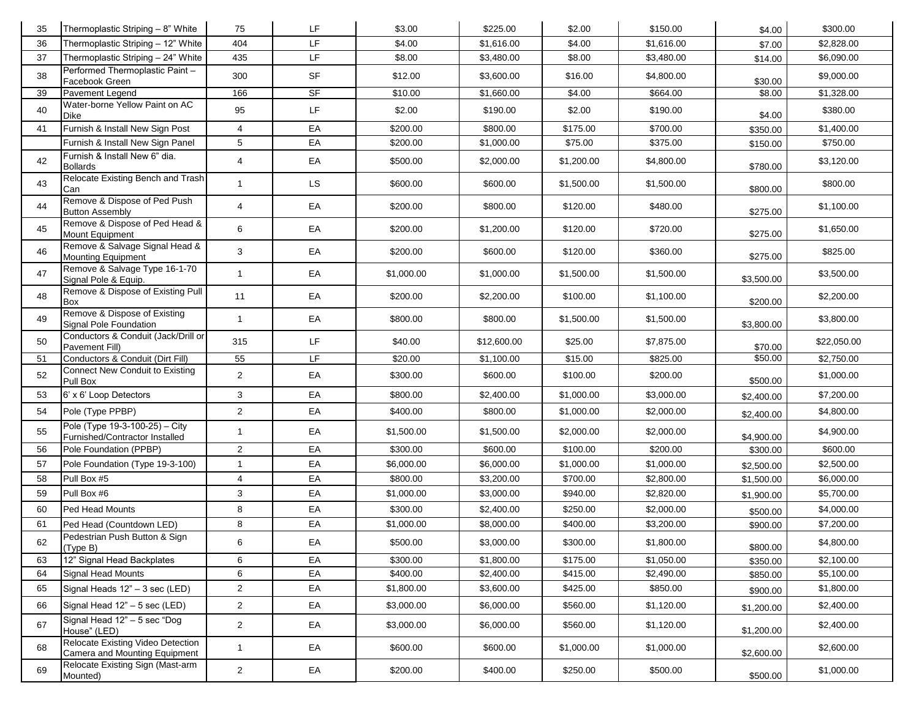| 35 | Thermoplastic Striping - 8" White                                  | 75             | LF        | \$3.00     | \$225.00    | \$2.00     | \$150.00   | \$4.00     | \$300.00    |
|----|--------------------------------------------------------------------|----------------|-----------|------------|-------------|------------|------------|------------|-------------|
| 36 | Thermoplastic Striping - 12" White                                 | 404            | LF.       | \$4.00     | \$1,616.00  | \$4.00     | \$1,616.00 | \$7.00     | \$2,828.00  |
| 37 | Thermoplastic Striping - 24" White                                 | 435            | LF        | \$8.00     | \$3,480.00  | \$8.00     | \$3,480.00 | \$14.00    | \$6,090.00  |
| 38 | Performed Thermoplastic Paint-<br>Facebook Green                   | 300            | SF        | \$12.00    | \$3,600.00  | \$16.00    | \$4,800.00 | \$30.00    | \$9,000.00  |
| 39 | Pavement Legend                                                    | 166            | SF        | \$10.00    | \$1,660.00  | \$4.00     | \$664.00   | \$8.00     | \$1,328.00  |
| 40 | Water-borne Yellow Paint on AC<br><b>Dike</b>                      | 95             | LF        | \$2.00     | \$190.00    | \$2.00     | \$190.00   | \$4.00     | \$380.00    |
| 41 | Furnish & Install New Sign Post                                    | 4              | EA        | \$200.00   | \$800.00    | \$175.00   | \$700.00   | \$350.00   | \$1,400.00  |
|    | Furnish & Install New Sign Panel                                   | 5              | EA        | \$200.00   | \$1,000.00  | \$75.00    | \$375.00   | \$150.00   | \$750.00    |
| 42 | Furnish & Install New 6" dia.<br><b>Bollards</b>                   | 4              | EA        | \$500.00   | \$2,000.00  | \$1,200.00 | \$4,800.00 | \$780.00   | \$3,120.00  |
| 43 | Relocate Existing Bench and Trash<br>Can                           | $\mathbf{1}$   | <b>LS</b> | \$600.00   | \$600.00    | \$1,500.00 | \$1,500.00 | \$800.00   | \$800.00    |
| 44 | Remove & Dispose of Ped Push<br><b>Button Assembly</b>             | $\overline{4}$ | EA        | \$200.00   | \$800.00    | \$120.00   | \$480.00   | \$275.00   | \$1,100.00  |
| 45 | Remove & Dispose of Ped Head &<br>Mount Equipment                  | 6              | EA        | \$200.00   | \$1,200.00  | \$120.00   | \$720.00   | \$275.00   | \$1,650.00  |
| 46 | Remove & Salvage Signal Head &<br><b>Mounting Equipment</b>        | 3              | EA        | \$200.00   | \$600.00    | \$120.00   | \$360.00   | \$275.00   | \$825.00    |
| 47 | Remove & Salvage Type 16-1-70<br>Signal Pole & Equip.              | $\overline{1}$ | EA        | \$1,000.00 | \$1,000.00  | \$1,500.00 | \$1,500.00 | \$3,500.00 | \$3,500.00  |
| 48 | Remove & Dispose of Existing Pull<br>Box                           | 11             | EA        | \$200.00   | \$2,200.00  | \$100.00   | \$1,100.00 | \$200.00   | \$2,200.00  |
| 49 | Remove & Dispose of Existing<br>Signal Pole Foundation             | $\mathbf{1}$   | EA        | \$800.00   | \$800.00    | \$1,500.00 | \$1,500.00 | \$3,800.00 | \$3,800.00  |
| 50 | Conductors & Conduit (Jack/Drill or<br>Pavement Fill)              | 315            | LF.       | \$40.00    | \$12,600.00 | \$25.00    | \$7,875.00 | \$70.00    | \$22,050.00 |
| 51 | Conductors & Conduit (Dirt Fill)                                   | 55             | LF        | \$20.00    | \$1,100.00  | \$15.00    | \$825.00   | \$50.00    | \$2,750.00  |
| 52 | <b>Connect New Conduit to Existing</b><br>Pull Box                 | $\overline{2}$ | EA        | \$300.00   | \$600.00    | \$100.00   | \$200.00   | \$500.00   | \$1,000.00  |
| 53 | 6' x 6' Loop Detectors                                             | 3              | EA        | \$800.00   | \$2,400.00  | \$1,000.00 | \$3,000.00 | \$2,400.00 | \$7,200.00  |
| 54 | Pole (Type PPBP)                                                   | $\overline{2}$ | EA        | \$400.00   | \$800.00    | \$1,000.00 | \$2,000.00 | \$2,400.00 | \$4,800.00  |
| 55 | Pole (Type 19-3-100-25) - City<br>Furnished/Contractor Installed   | $\mathbf{1}$   | EA        | \$1,500.00 | \$1,500.00  | \$2,000.00 | \$2,000.00 | \$4,900.00 | \$4,900.00  |
| 56 | Pole Foundation (PPBP)                                             | $\overline{2}$ | EA        | \$300.00   | \$600.00    | \$100.00   | \$200.00   | \$300.00   | \$600.00    |
| 57 | Pole Foundation (Type 19-3-100)                                    | $\mathbf{1}$   | EA        | \$6,000.00 | \$6,000.00  | \$1,000.00 | \$1,000.00 | \$2,500.00 | \$2,500.00  |
| 58 | Pull Box #5                                                        | $\overline{4}$ | EA        | \$800.00   | \$3,200.00  | \$700.00   | \$2,800.00 | \$1,500.00 | \$6,000.00  |
| 59 | Pull Box #6                                                        | 3              | EA        | \$1,000.00 | \$3,000.00  | \$940.00   | \$2,820.00 | \$1,900.00 | \$5,700.00  |
| 60 | Ped Head Mounts                                                    | 8              | EA        | \$300.00   | \$2,400.00  | \$250.00   | \$2,000.00 | \$500.00   | \$4,000.00  |
| 61 | Ped Head (Countdown LED)                                           | 8              | EA        | \$1,000.00 | \$8,000.00  | \$400.00   | \$3,200.00 | \$900.00   | \$7,200.00  |
| 62 | Pedestrian Push Button & Sign<br>(Type B)                          |                | EA        | \$500.00   | \$3,000.00  | \$300.00   | \$1,800.00 | \$800.00   | \$4,800.00  |
| 63 | 12" Signal Head Backplates                                         | 6              | EA        | \$300.00   | \$1,800.00  | \$175.00   | \$1,050.00 | \$350.00   | \$2,100.00  |
| 64 | Signal Head Mounts                                                 | 6              | EA        | \$400.00   | \$2,400.00  | \$415.00   | \$2,490.00 | \$850.00   | \$5,100.00  |
| 65 | Signal Heads 12" - 3 sec (LED)                                     | $\overline{2}$ | EA        | \$1,800.00 | \$3,600.00  | \$425.00   | \$850.00   | \$900.00   | \$1,800.00  |
| 66 | Signal Head 12" - 5 sec (LED)                                      | $\overline{2}$ | EA        | \$3,000.00 | \$6,000.00  | \$560.00   | \$1,120.00 | \$1,200.00 | \$2,400.00  |
| 67 | Signal Head 12" - 5 sec "Dog<br>House" (LED)                       | $\overline{2}$ | EA        | \$3,000.00 | \$6,000.00  | \$560.00   | \$1,120.00 | \$1,200.00 | \$2,400.00  |
| 68 | Relocate Existing Video Detection<br>Camera and Mounting Equipment | $\overline{1}$ | EA        | \$600.00   | \$600.00    | \$1,000.00 | \$1,000.00 | \$2,600.00 | \$2,600.00  |
|    | Relocate Existing Sign (Mast-arm                                   |                |           |            |             |            |            |            |             |